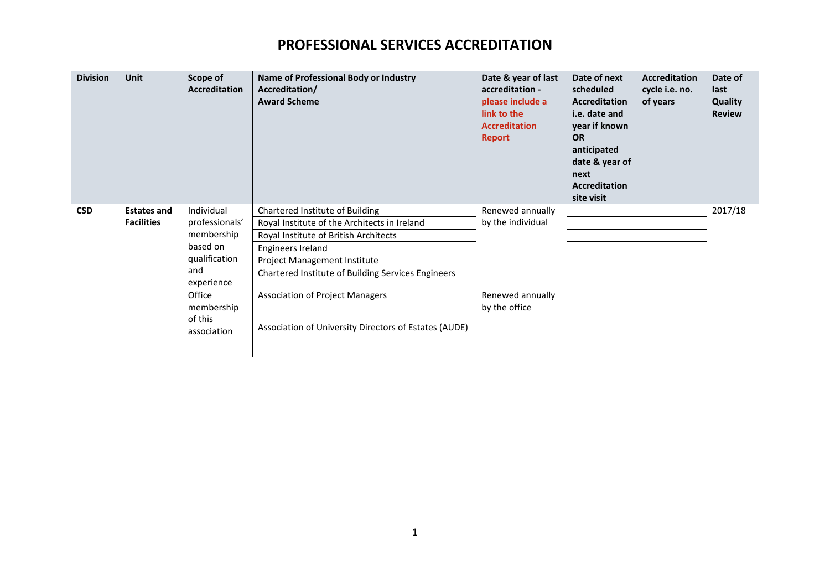| <b>Division</b> | <b>Unit</b>                             | Scope of<br><b>Accreditation</b> | Name of Professional Body or Industry<br>Accreditation/<br><b>Award Scheme</b> | Date & year of last<br>accreditation -<br>please include a<br>link to the<br><b>Accreditation</b><br><b>Report</b> | Date of next<br>scheduled<br><b>Accreditation</b><br>i.e. date and<br>year if known<br><b>OR</b><br>anticipated<br>date & year of<br>next<br><b>Accreditation</b><br>site visit | <b>Accreditation</b><br>cycle i.e. no.<br>of years | Date of<br>last<br>Quality<br><b>Review</b> |
|-----------------|-----------------------------------------|----------------------------------|--------------------------------------------------------------------------------|--------------------------------------------------------------------------------------------------------------------|---------------------------------------------------------------------------------------------------------------------------------------------------------------------------------|----------------------------------------------------|---------------------------------------------|
| <b>CSD</b>      | <b>Estates and</b><br><b>Facilities</b> | Individual<br>professionals'     | Chartered Institute of Building                                                | Renewed annually<br>by the individual                                                                              |                                                                                                                                                                                 |                                                    | 2017/18                                     |
|                 |                                         |                                  | Royal Institute of the Architects in Ireland                                   |                                                                                                                    |                                                                                                                                                                                 |                                                    |                                             |
|                 |                                         | membership                       | Royal Institute of British Architects                                          |                                                                                                                    |                                                                                                                                                                                 |                                                    |                                             |
|                 |                                         | based on                         | Engineers Ireland                                                              |                                                                                                                    |                                                                                                                                                                                 |                                                    |                                             |
|                 |                                         | qualification                    | <b>Project Management Institute</b>                                            |                                                                                                                    |                                                                                                                                                                                 |                                                    |                                             |
|                 |                                         | and<br>experience                | Chartered Institute of Building Services Engineers                             |                                                                                                                    |                                                                                                                                                                                 |                                                    |                                             |
|                 |                                         | Office                           | <b>Association of Project Managers</b>                                         | Renewed annually                                                                                                   |                                                                                                                                                                                 |                                                    |                                             |
|                 |                                         | membership<br>of this            |                                                                                | by the office                                                                                                      |                                                                                                                                                                                 |                                                    |                                             |
|                 |                                         | association                      | Association of University Directors of Estates (AUDE)                          |                                                                                                                    |                                                                                                                                                                                 |                                                    |                                             |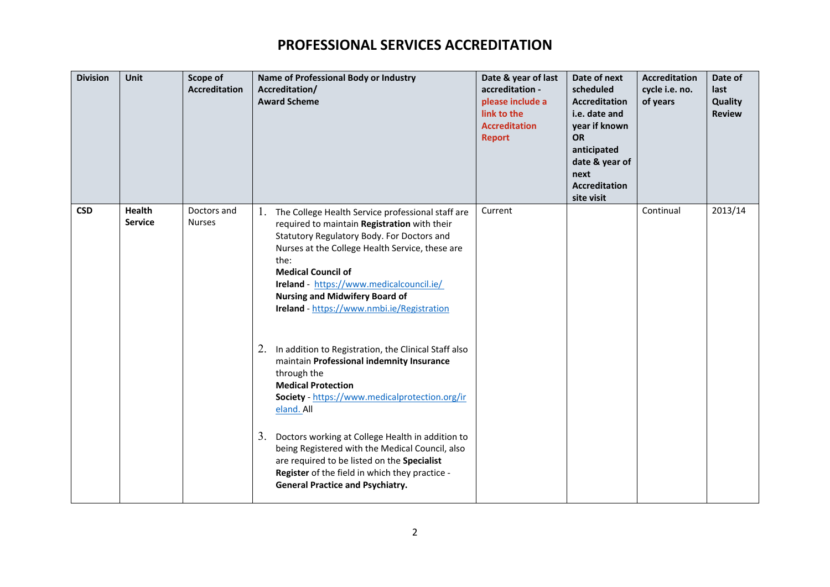| <b>Division</b> | Unit                            | Scope of<br><b>Accreditation</b> | Name of Professional Body or Industry<br>Accreditation/<br><b>Award Scheme</b>                                                                                                                                                                                                                                                                                                | Date & year of last<br>accreditation -<br>please include a<br>link to the<br><b>Accreditation</b><br><b>Report</b> | Date of next<br>scheduled<br><b>Accreditation</b><br>i.e. date and<br>year if known<br><b>OR</b><br>anticipated<br>date & year of<br>next<br><b>Accreditation</b><br>site visit | <b>Accreditation</b><br>cycle i.e. no.<br>of years | Date of<br>last<br>Quality<br><b>Review</b> |
|-----------------|---------------------------------|----------------------------------|-------------------------------------------------------------------------------------------------------------------------------------------------------------------------------------------------------------------------------------------------------------------------------------------------------------------------------------------------------------------------------|--------------------------------------------------------------------------------------------------------------------|---------------------------------------------------------------------------------------------------------------------------------------------------------------------------------|----------------------------------------------------|---------------------------------------------|
| <b>CSD</b>      | <b>Health</b><br><b>Service</b> | Doctors and<br><b>Nurses</b>     | 1. The College Health Service professional staff are<br>required to maintain Registration with their<br>Statutory Regulatory Body. For Doctors and<br>Nurses at the College Health Service, these are<br>the:<br><b>Medical Council of</b><br>Ireland - https://www.medicalcouncil.ie/<br><b>Nursing and Midwifery Board of</b><br>Ireland - https://www.nmbi.ie/Registration | Current                                                                                                            |                                                                                                                                                                                 | Continual                                          | 2013/14                                     |
|                 |                                 |                                  | In addition to Registration, the Clinical Staff also<br>2.<br>maintain Professional indemnity Insurance<br>through the<br><b>Medical Protection</b><br>Society - https://www.medicalprotection.org/ir<br>eland. All                                                                                                                                                           |                                                                                                                    |                                                                                                                                                                                 |                                                    |                                             |
|                 |                                 |                                  | 3.<br>Doctors working at College Health in addition to<br>being Registered with the Medical Council, also<br>are required to be listed on the Specialist<br>Register of the field in which they practice -<br><b>General Practice and Psychiatry.</b>                                                                                                                         |                                                                                                                    |                                                                                                                                                                                 |                                                    |                                             |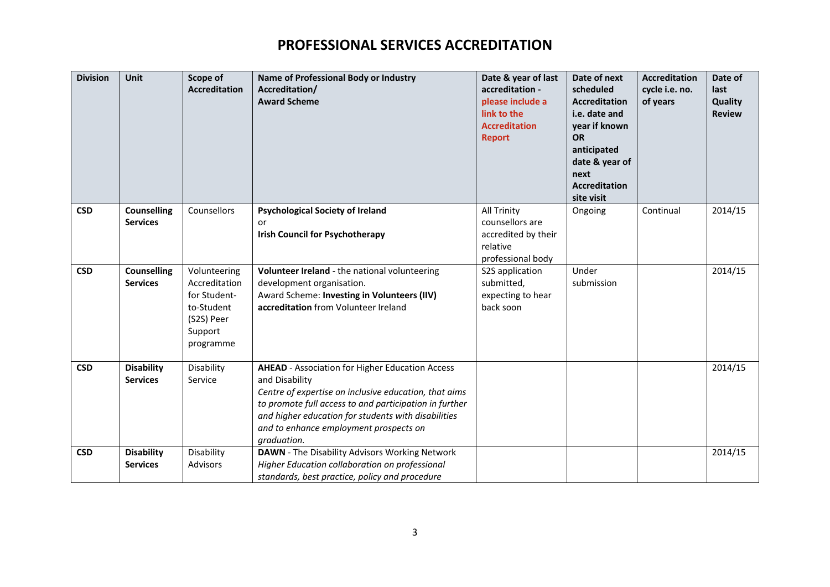| <b>Division</b> | Unit                                  | Scope of<br><b>Accreditation</b>                                                                  | Name of Professional Body or Industry<br>Accreditation/<br><b>Award Scheme</b>                                                                                                                                                                                                                              | Date & year of last<br>accreditation -<br>please include a<br>link to the<br><b>Accreditation</b><br><b>Report</b> | Date of next<br>scheduled<br><b>Accreditation</b><br>i.e. date and<br>year if known<br><b>OR</b><br>anticipated<br>date & year of<br>next<br><b>Accreditation</b><br>site visit | <b>Accreditation</b><br>cycle i.e. no.<br>of years | Date of<br>last<br>Quality<br><b>Review</b> |
|-----------------|---------------------------------------|---------------------------------------------------------------------------------------------------|-------------------------------------------------------------------------------------------------------------------------------------------------------------------------------------------------------------------------------------------------------------------------------------------------------------|--------------------------------------------------------------------------------------------------------------------|---------------------------------------------------------------------------------------------------------------------------------------------------------------------------------|----------------------------------------------------|---------------------------------------------|
| <b>CSD</b>      | <b>Counselling</b><br><b>Services</b> | Counsellors                                                                                       | <b>Psychological Society of Ireland</b><br>or<br><b>Irish Council for Psychotherapy</b>                                                                                                                                                                                                                     | <b>All Trinity</b><br>counsellors are<br>accredited by their<br>relative<br>professional body                      | Ongoing                                                                                                                                                                         | Continual                                          | 2014/15                                     |
| <b>CSD</b>      | <b>Counselling</b><br><b>Services</b> | Volunteering<br>Accreditation<br>for Student-<br>to-Student<br>(S2S) Peer<br>Support<br>programme | Volunteer Ireland - the national volunteering<br>development organisation.<br>Award Scheme: Investing in Volunteers (IIV)<br>accreditation from Volunteer Ireland                                                                                                                                           | S2S application<br>submitted,<br>expecting to hear<br>back soon                                                    | Under<br>submission                                                                                                                                                             |                                                    | 2014/15                                     |
| <b>CSD</b>      | <b>Disability</b><br><b>Services</b>  | Disability<br>Service                                                                             | <b>AHEAD</b> - Association for Higher Education Access<br>and Disability<br>Centre of expertise on inclusive education, that aims<br>to promote full access to and participation in further<br>and higher education for students with disabilities<br>and to enhance employment prospects on<br>graduation. |                                                                                                                    |                                                                                                                                                                                 |                                                    | 2014/15                                     |
| <b>CSD</b>      | <b>Disability</b><br><b>Services</b>  | Disability<br><b>Advisors</b>                                                                     | DAWN - The Disability Advisors Working Network<br>Higher Education collaboration on professional<br>standards, best practice, policy and procedure                                                                                                                                                          |                                                                                                                    |                                                                                                                                                                                 |                                                    | 2014/15                                     |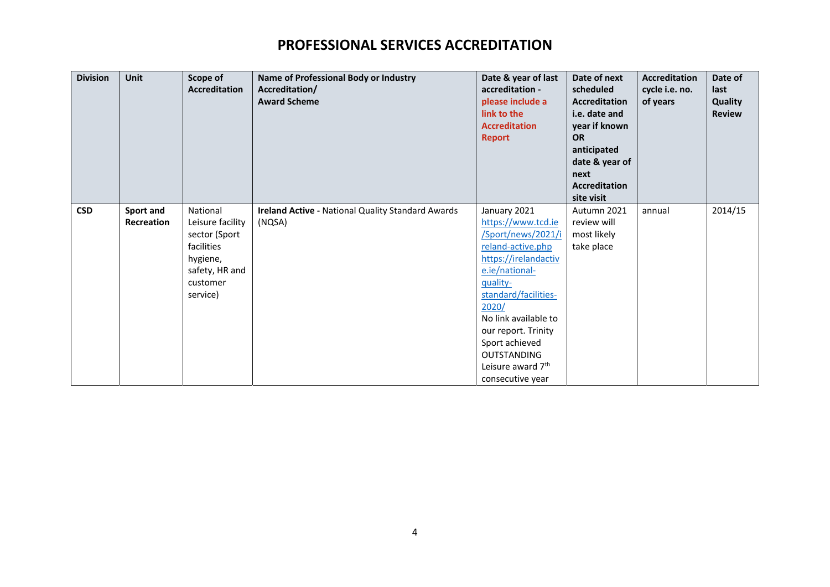| <b>Division</b> | <b>Unit</b>       | Scope of<br><b>Accreditation</b> | Name of Professional Body or Industry<br>Accreditation/<br><b>Award Scheme</b> | Date & year of last<br>accreditation -<br>please include a<br>link to the<br><b>Accreditation</b><br><b>Report</b> | Date of next<br>scheduled<br><b>Accreditation</b><br>i.e. date and<br>year if known<br><b>OR</b><br>anticipated<br>date & year of<br>next<br><b>Accreditation</b><br>site visit | <b>Accreditation</b><br>cycle i.e. no.<br>of years | Date of<br>last<br>Quality<br><b>Review</b> |
|-----------------|-------------------|----------------------------------|--------------------------------------------------------------------------------|--------------------------------------------------------------------------------------------------------------------|---------------------------------------------------------------------------------------------------------------------------------------------------------------------------------|----------------------------------------------------|---------------------------------------------|
| <b>CSD</b>      | Sport and         | National                         | Ireland Active - National Quality Standard Awards                              | January 2021                                                                                                       | Autumn 2021                                                                                                                                                                     | annual                                             | 2014/15                                     |
|                 | <b>Recreation</b> | Leisure facility                 | (NQSA)                                                                         | https://www.tcd.ie                                                                                                 | review will                                                                                                                                                                     |                                                    |                                             |
|                 |                   | sector (Sport                    |                                                                                | Sport/news/2021/i                                                                                                  | most likely                                                                                                                                                                     |                                                    |                                             |
|                 |                   | facilities                       |                                                                                | reland-active.php                                                                                                  | take place                                                                                                                                                                      |                                                    |                                             |
|                 |                   | hygiene,                         |                                                                                | https://irelandactiv                                                                                               |                                                                                                                                                                                 |                                                    |                                             |
|                 |                   | safety, HR and                   |                                                                                | e.ie/national-                                                                                                     |                                                                                                                                                                                 |                                                    |                                             |
|                 |                   | customer                         |                                                                                | quality-                                                                                                           |                                                                                                                                                                                 |                                                    |                                             |
|                 |                   | service)                         |                                                                                | standard/facilities-                                                                                               |                                                                                                                                                                                 |                                                    |                                             |
|                 |                   |                                  |                                                                                | 2020/                                                                                                              |                                                                                                                                                                                 |                                                    |                                             |
|                 |                   |                                  |                                                                                | No link available to                                                                                               |                                                                                                                                                                                 |                                                    |                                             |
|                 |                   |                                  |                                                                                | our report. Trinity                                                                                                |                                                                                                                                                                                 |                                                    |                                             |
|                 |                   |                                  |                                                                                | Sport achieved                                                                                                     |                                                                                                                                                                                 |                                                    |                                             |
|                 |                   |                                  |                                                                                | OUTSTANDING<br>Leisure award 7 <sup>th</sup>                                                                       |                                                                                                                                                                                 |                                                    |                                             |
|                 |                   |                                  |                                                                                |                                                                                                                    |                                                                                                                                                                                 |                                                    |                                             |
|                 |                   |                                  |                                                                                | consecutive year                                                                                                   |                                                                                                                                                                                 |                                                    |                                             |